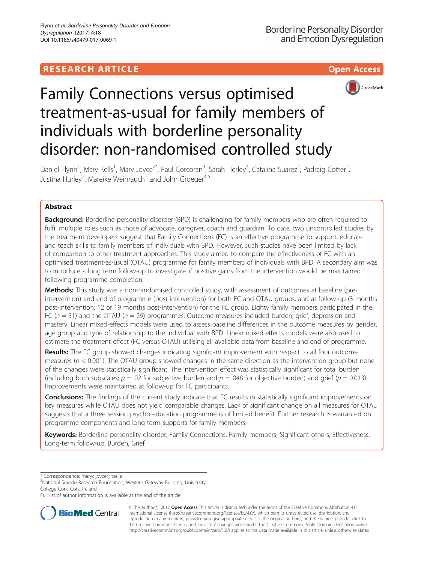# **RESEARCH ARTICLE Example 2014 12:30 The Contract of Contract ACCESS**



# Family Connections versus optimised treatment-as-usual for family members of individuals with borderline personality disorder: non-randomised controlled study

Daniel Flynn<sup>1</sup>, Mary Kells<sup>1</sup>, Mary Joyce<sup>2\*</sup>, Paul Corcoran<sup>3</sup>, Sarah Herley<sup>4</sup>, Catalina Suarez<sup>2</sup>, Padraig Cotter<sup>2</sup> , Justina Hurley<sup>2</sup>, Mareike Weihrauch<sup>2</sup> and John Groeger<sup>4,5</sup>

# Abstract

**Background:** Borderline personality disorder (BPD) is challenging for family members who are often required to fulfil multiple roles such as those of advocate, caregiver, coach and guardian. To date, two uncontrolled studies by the treatment developers suggest that Family Connections (FC) is an effective programme to support, educate and teach skills to family members of individuals with BPD. However, such studies have been limited by lack of comparison to other treatment approaches. This study aimed to compare the effectiveness of FC with an optimised treatment-as-usual (OTAU) programme for family members of individuals with BPD. A secondary aim was to introduce a long term follow-up to investigate if positive gains from the intervention would be maintained following programme completion.

Methods: This study was a non-randomised controlled study, with assessment of outcomes at baseline (preintervention) and end of programme (post-intervention) for both FC and OTAU groups, and at follow-up (3 months post-intervention; 12 or 19 months post-intervention) for the FC group. Eighty family members participated in the FC ( $n = 51$ ) and the OTAU ( $n = 29$ ) programmes. Outcome measures included burden, grief, depression and mastery. Linear mixed-effects models were used to assess baseline differences in the outcome measures by gender, age group and type of relationship to the individual with BPD. Linear mixed-effects models were also used to estimate the treatment effect (FC versus OTAU) utilising all available data from baseline and end of programme.

Results: The FC group showed changes indicating significant improvement with respect to all four outcome measures ( $p < 0.001$ ). The OTAU group showed changes in the same direction as the intervention group but none of the changes were statistically significant. The intervention effect was statistically significant for total burden (including both subscales;  $p = .02$  for subjective burden and  $p = .048$  for objective burden) and grief ( $p = 0.013$ ). Improvements were maintained at follow-up for FC participants.

**Conclusions:** The findings of the current study indicate that FC results in statistically significant improvements on key measures while OTAU does not yield comparable changes. Lack of significant change on all measures for OTAU suggests that a three session psycho-education programme is of limited benefit. Further research is warranted on programme components and long-term supports for family members.

Keywords: Borderline personality disorder, Family Connections, Family members, Significant others, Effectiveness, Long-term follow-up, Burden, Grief

\* Correspondence: [maryc.joyce@hse.ie](mailto:maryc.joyce@hse.ie) <sup>2</sup>

<sup>2</sup>National Suicide Research Foundation, Western Gateway Building, University College Cork, Cork, Ireland

Full list of author information is available at the end of the article



© The Author(s). 2017 **Open Access** This article is distributed under the terms of the Creative Commons Attribution 4.0 International License [\(http://creativecommons.org/licenses/by/4.0/](http://creativecommons.org/licenses/by/4.0/)), which permits unrestricted use, distribution, and reproduction in any medium, provided you give appropriate credit to the original author(s) and the source, provide a link to the Creative Commons license, and indicate if changes were made. The Creative Commons Public Domain Dedication waiver [\(http://creativecommons.org/publicdomain/zero/1.0/](http://creativecommons.org/publicdomain/zero/1.0/)) applies to the data made available in this article, unless otherwise stated.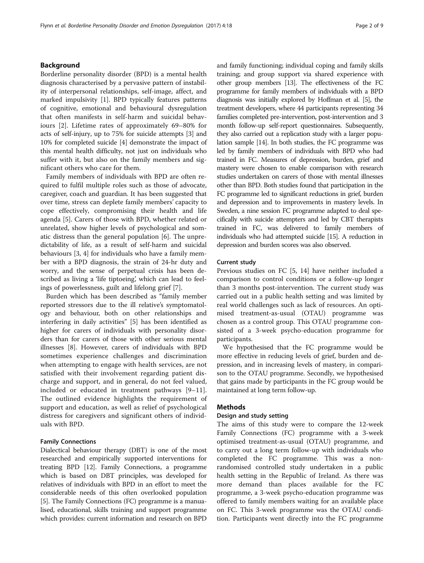# Background

Borderline personality disorder (BPD) is a mental health diagnosis characterised by a pervasive pattern of instability of interpersonal relationships, self-image, affect, and marked impulsivity [[1](#page-8-0)]. BPD typically features patterns of cognitive, emotional and behavioural dysregulation that often manifests in self-harm and suicidal behaviours [[2\]](#page-8-0). Lifetime rates of approximately 69–80% for acts of self-injury, up to 75% for suicide attempts [\[3](#page-8-0)] and 10% for completed suicide [[4\]](#page-8-0) demonstrate the impact of this mental health difficulty, not just on individuals who suffer with it, but also on the family members and significant others who care for them.

Family members of individuals with BPD are often required to fulfil multiple roles such as those of advocate, caregiver, coach and guardian. It has been suggested that over time, stress can deplete family members' capacity to cope effectively, compromising their health and life agenda [\[5](#page-8-0)]. Carers of those with BPD, whether related or unrelated, show higher levels of psychological and somatic distress than the general population [[6\]](#page-8-0). The unpredictability of life, as a result of self-harm and suicidal behaviours [[3, 4\]](#page-8-0) for individuals who have a family member with a BPD diagnosis, the strain of 24-hr duty and worry, and the sense of perpetual crisis has been described as living a 'life tiptoeing', which can lead to feelings of powerlessness, guilt and lifelong grief [\[7\]](#page-8-0).

Burden which has been described as "family member reported stressors due to the ill relative's symptomatology and behaviour, both on other relationships and interfering in daily activities" [[5\]](#page-8-0) has been identified as higher for carers of individuals with personality disorders than for carers of those with other serious mental illnesses [\[8](#page-8-0)]. However, carers of individuals with BPD sometimes experience challenges and discrimination when attempting to engage with health services, are not satisfied with their involvement regarding patient discharge and support, and in general, do not feel valued, included or educated in treatment pathways [\[9](#page-8-0)–[11](#page-8-0)]. The outlined evidence highlights the requirement of support and education, as well as relief of psychological distress for caregivers and significant others of individuals with BPD.

# Family Connections

Dialectical behaviour therapy (DBT) is one of the most researched and empirically supported interventions for treating BPD [\[12\]](#page-8-0). Family Connections, a programme which is based on DBT principles, was developed for relatives of individuals with BPD in an effort to meet the considerable needs of this often overlooked population [[5\]](#page-8-0). The Family Connections (FC) programme is a manualised, educational, skills training and support programme which provides: current information and research on BPD and family functioning; individual coping and family skills training; and group support via shared experience with other group members [\[13](#page-8-0)]. The effectiveness of the FC programme for family members of individuals with a BPD diagnosis was initially explored by Hoffman et al. [\[5](#page-8-0)], the treatment developers, where 44 participants representing 34 families completed pre-intervention, post-intervention and 3 month follow-up self-report questionnaires. Subsequently, they also carried out a replication study with a larger population sample [\[14](#page-8-0)]. In both studies, the FC programme was led by family members of individuals with BPD who had trained in FC. Measures of depression, burden, grief and mastery were chosen to enable comparison with research studies undertaken on carers of those with mental illnesses other than BPD. Both studies found that participation in the FC programme led to significant reductions in grief, burden and depression and to improvements in mastery levels. In Sweden, a nine session FC programme adapted to deal specifically with suicide attempters and led by CBT therapists trained in FC, was delivered to family members of individuals who had attempted suicide [[15\]](#page-8-0). A reduction in depression and burden scores was also observed.

#### Current study

Previous studies on FC [\[5](#page-8-0), [14](#page-8-0)] have neither included a comparison to control conditions or a follow-up longer than 3 months post-intervention. The current study was carried out in a public health setting and was limited by real world challenges such as lack of resources. An optimised treatment-as-usual (OTAU) programme was chosen as a control group. This OTAU programme consisted of a 3-week psycho-education programme for participants.

We hypothesised that the FC programme would be more effective in reducing levels of grief, burden and depression, and in increasing levels of mastery, in comparison to the OTAU programme. Secondly, we hypothesised that gains made by participants in the FC group would be maintained at long term follow-up.

# Methods

# Design and study setting

The aims of this study were to compare the 12-week Family Connections (FC) programme with a 3-week optimised treatment-as-usual (OTAU) programme, and to carry out a long term follow-up with individuals who completed the FC programme. This was a nonrandomised controlled study undertaken in a public health setting in the Republic of Ireland. As there was more demand than places available for the FC programme, a 3-week psycho-education programme was offered to family members waiting for an available place on FC. This 3-week programme was the OTAU condition. Participants went directly into the FC programme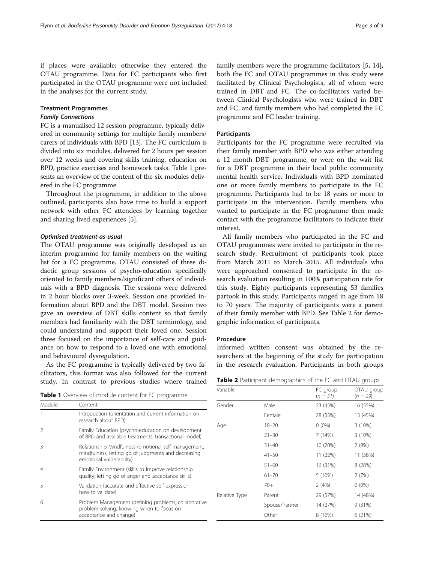if places were available; otherwise they entered the OTAU programme. Data for FC participants who first participated in the OTAU programme were not included in the analyses for the current study.

## Treatment Programmes

# Family Connections

FC is a manualised 12 session programme, typically delivered in community settings for multiple family members/ carers of individuals with BPD [\[13](#page-8-0)]. The FC curriculum is divided into six modules, delivered for 2 hours per session over 12 weeks and covering skills training, education on BPD, practice exercises and homework tasks. Table 1 presents an overview of the content of the six modules delivered in the FC programme.

Throughout the programme, in addition to the above outlined, participants also have time to build a support network with other FC attendees by learning together and sharing lived experiences [\[5](#page-8-0)].

# Optimised treatment-as-usual

The OTAU programme was originally developed as an interim programme for family members on the waiting list for a FC programme. OTAU consisted of three didactic group sessions of psycho-education specifically oriented to family members/significant others of individuals with a BPD diagnosis. The sessions were delivered in 2 hour blocks over 3-week. Session one provided information about BPD and the DBT model. Session two gave an overview of DBT skills content so that family members had familiarity with the DBT terminology, and could understand and support their loved one. Session three focused on the importance of self-care and guidance on how to respond to a loved one with emotional and behavioural dysregulation.

As the FC programme is typically delivered by two facilitators, this format was also followed for the current study. In contrast to previous studies where trained

Table 1 Overview of module content for FC programme

| Module | Content                                                                                                                                 |
|--------|-----------------------------------------------------------------------------------------------------------------------------------------|
|        | Introduction (orientation and current information on<br>research about BPD)                                                             |
| 2      | Family Education (psycho-education on development<br>of BPD and available treatments, transactional model)                              |
| Β      | Relationship Mindfulness (emotional self-management,<br>mindfulness, letting go of judgments and decreasing<br>emotional vulnerability) |
| 4      | Family Environment (skills to improve relationship<br>quality; letting go of anger and acceptance skills)                               |
| 5      | Validation (accurate and effective self-expression,<br>how to validate)                                                                 |
| 6      | Problem Management (defining problems, collaborative<br>problem-solving, knowing when to focus on<br>acceptance and change)             |

family members were the programme facilitators [[5, 14](#page-8-0)], both the FC and OTAU programmes in this study were facilitated by Clinical Psychologists, all of whom were trained in DBT and FC. The co-facilitators varied between Clinical Psychologists who were trained in DBT and FC, and family members who had completed the FC programme and FC leader training.

#### Participants

Participants for the FC programme were recruited via their family member with BPD who was either attending a 12 month DBT programme, or were on the wait list for a DBT programme in their local public community mental health service. Individuals with BPD nominated one or more family members to participate in the FC programme. Participants had to be 18 years or more to participate in the intervention. Family members who wanted to participate in the FC programme then made contact with the programme facilitators to indicate their interest.

All family members who participated in the FC and OTAU programmes were invited to participate in the research study. Recruitment of participants took place from March 2011 to March 2015. All individuals who were approached consented to participate in the research evaluation resulting in 100% participation rate for this study. Eighty participants representing 53 families partook in this study. Participants ranged in age from 18 to 70 years. The majority of participants were a parent of their family member with BPD. See Table 2 for demographic information of participants.

# Procedure

Informed written consent was obtained by the researchers at the beginning of the study for participation in the research evaluation. Participants in both groups

Table 2 Participant demographics of the FC and OTAU groups

| Variable      |                | FC group<br>$(n = 51)$ | OTAU group<br>$(n = 29)$ |
|---------------|----------------|------------------------|--------------------------|
| Gender        | Male           | 23 (45%)               | 16 (55%)                 |
|               | Female         | 28 (55%)               | 13 (45%)                 |
| Age           | $18 - 20$      | $0(0\%)$               | 3(10%)                   |
|               | $21 - 30$      | 7 (14%)                | 3(10%)                   |
|               | $31 - 40$      | 10 (20%)               | 2(9%)                    |
|               | $41 - 50$      | 11 (22%)               | 11 (38%)                 |
|               | $51 - 60$      | 16 (31%)               | 8 (28%)                  |
|               | $61 - 70$      | 5 (10%)                | 2(7%)                    |
|               | $70+$          | 2(4%)                  | $0(0\%)$                 |
| Relative Type | Parent         | 29 (57%)               | 14 (48%)                 |
|               | Spouse/Partner | 14 (27%)               | 9(31%)                   |
|               | Other          | 8 (16%)                | 6 (21%)                  |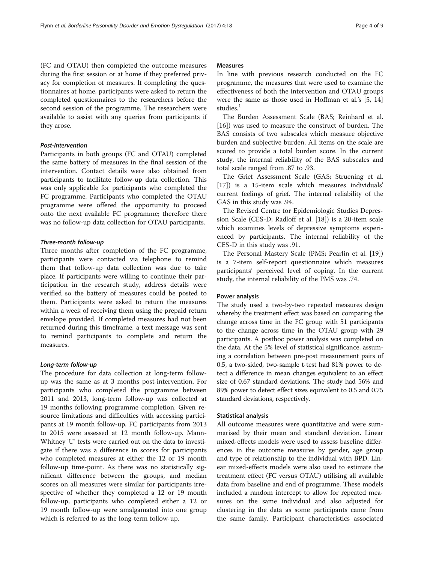(FC and OTAU) then completed the outcome measures during the first session or at home if they preferred privacy for completion of measures. If completing the questionnaires at home, participants were asked to return the completed questionnaires to the researchers before the second session of the programme. The researchers were available to assist with any queries from participants if they arose.

#### Post-intervention

Participants in both groups (FC and OTAU) completed the same battery of measures in the final session of the intervention. Contact details were also obtained from participants to facilitate follow-up data collection. This was only applicable for participants who completed the FC programme. Participants who completed the OTAU programme were offered the opportunity to proceed onto the next available FC programme; therefore there was no follow-up data collection for OTAU participants.

# Three-month follow-up

Three months after completion of the FC programme, participants were contacted via telephone to remind them that follow-up data collection was due to take place. If participants were willing to continue their participation in the research study, address details were verified so the battery of measures could be posted to them. Participants were asked to return the measures within a week of receiving them using the prepaid return envelope provided. If completed measures had not been returned during this timeframe, a text message was sent to remind participants to complete and return the measures.

#### Long-term follow-up

The procedure for data collection at long-term followup was the same as at 3 months post-intervention. For participants who completed the programme between 2011 and 2013, long-term follow-up was collected at 19 months following programme completion. Given resource limitations and difficulties with accessing participants at 19 month follow-up, FC participants from 2013 to 2015 were assessed at 12 month follow-up. Mann-Whitney 'U' tests were carried out on the data to investigate if there was a difference in scores for participants who completed measures at either the 12 or 19 month follow-up time-point. As there was no statistically significant difference between the groups, and median scores on all measures were similar for participants irrespective of whether they completed a 12 or 19 month follow-up, participants who completed either a 12 or 19 month follow-up were amalgamated into one group which is referred to as the long-term follow-up.

## Measures

In line with previous research conducted on the FC programme, the measures that were used to examine the effectiveness of both the intervention and OTAU groups were the same as those used in Hoffman et al.'s [[5, 14](#page-8-0)] studies.<sup>1</sup>

The Burden Assessment Scale (BAS; Reinhard et al. [[16\]](#page-8-0)) was used to measure the construct of burden. The BAS consists of two subscales which measure objective burden and subjective burden. All items on the scale are scored to provide a total burden score. In the current study, the internal reliability of the BAS subscales and total scale ranged from .87 to .93.

The Grief Assessment Scale (GAS; Struening et al. [[17\]](#page-8-0)) is a 15-item scale which measures individuals' current feelings of grief. The internal reliability of the GAS in this study was .94.

The Revised Centre for Epidemiologic Studies Depression Scale (CES-D; Radloff et al. [\[18](#page-8-0)]) is a 20-item scale which examines levels of depressive symptoms experienced by participants. The internal reliability of the CES-D in this study was .91.

The Personal Mastery Scale (PMS; Pearlin et al. [\[19](#page-8-0)]) is a 7-item self-report questionnaire which measures participants' perceived level of coping. In the current study, the internal reliability of the PMS was .74.

# Power analysis

The study used a two-by-two repeated measures design whereby the treatment effect was based on comparing the change across time in the FC group with 51 participants to the change across time in the OTAU group with 29 participants. A posthoc power analysis was completed on the data. At the 5% level of statistical significance, assuming a correlation between pre-post measurement pairs of 0.5, a two-sided, two-sample t-test had 81% power to detect a difference in mean changes equivalent to an effect size of 0.67 standard deviations. The study had 56% and 89% power to detect effect sizes equivalent to 0.5 and 0.75 standard deviations, respectively.

# Statistical analysis

All outcome measures were quantitative and were summarised by their mean and standard deviation. Linear mixed-effects models were used to assess baseline differences in the outcome measures by gender, age group and type of relationship to the individual with BPD. Linear mixed-effects models were also used to estimate the treatment effect (FC versus OTAU) utilising all available data from baseline and end of programme. These models included a random intercept to allow for repeated measures on the same individual and also adjusted for clustering in the data as some participants came from the same family. Participant characteristics associated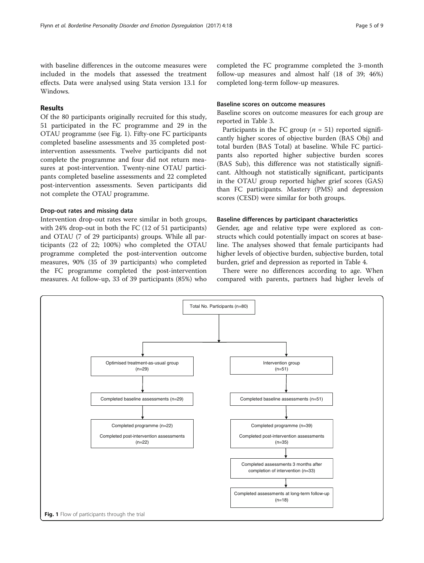with baseline differences in the outcome measures were included in the models that assessed the treatment effects. Data were analysed using Stata version 13.1 for Windows.

# Results

Of the 80 participants originally recruited for this study, 51 participated in the FC programme and 29 in the OTAU programme (see Fig. 1). Fifty-one FC participants completed baseline assessments and 35 completed postintervention assessments. Twelve participants did not complete the programme and four did not return measures at post-intervention. Twenty-nine OTAU participants completed baseline assessments and 22 completed post-intervention assessments. Seven participants did not complete the OTAU programme.

# Drop-out rates and missing data

Intervention drop-out rates were similar in both groups, with 24% drop-out in both the FC (12 of 51 participants) and OTAU (7 of 29 participants) groups. While all participants (22 of 22; 100%) who completed the OTAU programme completed the post-intervention outcome measures, 90% (35 of 39 participants) who completed the FC programme completed the post-intervention measures. At follow-up, 33 of 39 participants (85%) who completed the FC programme completed the 3-month follow-up measures and almost half (18 of 39; 46%) completed long-term follow-up measures.

# Baseline scores on outcome measures

Baseline scores on outcome measures for each group are reported in Table [3](#page-5-0).

Participants in the FC group ( $n = 51$ ) reported significantly higher scores of objective burden (BAS Obj) and total burden (BAS Total) at baseline. While FC participants also reported higher subjective burden scores (BAS Sub), this difference was not statistically significant. Although not statistically significant, participants in the OTAU group reported higher grief scores (GAS) than FC participants. Mastery (PMS) and depression scores (CESD) were similar for both groups.

## Baseline differences by participant characteristics

Gender, age and relative type were explored as constructs which could potentially impact on scores at baseline. The analyses showed that female participants had higher levels of objective burden, subjective burden, total burden, grief and depression as reported in Table [4](#page-5-0).

There were no differences according to age. When compared with parents, partners had higher levels of

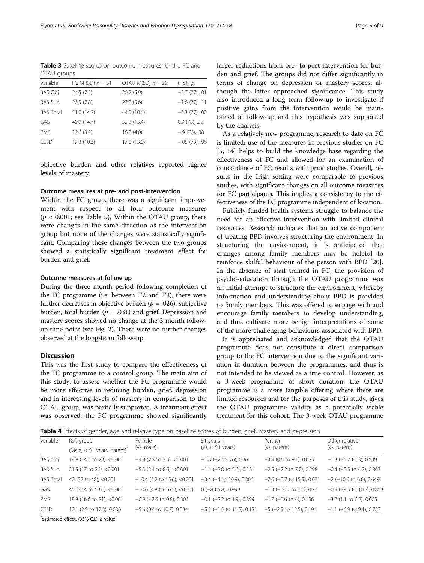<span id="page-5-0"></span>Table 3 Baseline scores on outcome measures for the FC and OTAU groups

| Variable         | FC M (SD) $n = 51$ | OTAU M(SD) $n = 29$ | t (df), $p$      |
|------------------|--------------------|---------------------|------------------|
| <b>BAS Obj</b>   | 24.5(7.3)          | 20.2(5.9)           | $-2.7(77)$ , 01  |
| <b>BAS Sub</b>   | 26.5(7.8)          | 23.8(5.6)           | $-1.6$ (77), .11 |
| <b>BAS Total</b> | 51.0 (14.2)        | 44.0 (10.4)         | $-2.3$ (77), .02 |
| GAS              | 49.9 (14.7)        | 52.8 (13.4)         | $0.9(78)$ , .39  |
| <b>PMS</b>       | 19.6(3.5)          | 18.8 (4.0)          | $-.9(76)$ , .38  |
| CESD             | 17.3 (10.3)        | 17.2 (13.0)         | $-.05(73)$ , .96 |

objective burden and other relatives reported higher levels of mastery.

# Outcome measures at pre- and post-intervention

Within the FC group, there was a significant improvement with respect to all four outcome measures  $(p < 0.001$ ; see Table [5](#page-6-0)). Within the OTAU group, there were changes in the same direction as the intervention group but none of the changes were statistically significant. Comparing these changes between the two groups showed a statistically significant treatment effect for burden and grief.

#### Outcome measures at follow-up

During the three month period following completion of the FC programme (i.e. between T2 and T3), there were further decreases in objective burden ( $p = .026$ ), subjective burden, total burden ( $p = .031$ ) and grief. Depression and mastery scores showed no change at the 3 month followup time-point (see Fig. [2\)](#page-6-0). There were no further changes observed at the long-term follow-up.

# **Discussion**

This was the first study to compare the effectiveness of the FC programme to a control group. The main aim of this study, to assess whether the FC programme would be more effective in reducing burden, grief, depression and in increasing levels of mastery in comparison to the OTAU group, was partially supported. A treatment effect was observed; the FC programme showed significantly

larger reductions from pre- to post-intervention for burden and grief. The groups did not differ significantly in terms of change on depression or mastery scores, although the latter approached significance. This study also introduced a long term follow-up to investigate if positive gains from the intervention would be maintained at follow-up and this hypothesis was supported by the analysis.

As a relatively new programme, research to date on FC is limited; use of the measures in previous studies on FC [[5, 14\]](#page-8-0) helps to build the knowledge base regarding the effectiveness of FC and allowed for an examination of concordance of FC results with prior studies. Overall, results in the Irish setting were comparable to previous studies, with significant changes on all outcome measures for FC participants. This implies a consistency to the effectiveness of the FC programme independent of location.

Publicly funded health systems struggle to balance the need for an effective intervention with limited clinical resources. Research indicates that an active component of treating BPD involves structuring the environment. In structuring the environment, it is anticipated that changes among family members may be helpful to reinforce skilful behaviour of the person with BPD [\[20](#page-8-0)]. In the absence of staff trained in FC, the provision of psycho-education through the OTAU programme was an initial attempt to structure the environment, whereby information and understanding about BPD is provided to family members. This was offered to engage with and encourage family members to develop understanding, and thus cultivate more benign interpretations of some of the more challenging behaviours associated with BPD.

It is appreciated and acknowledged that the OTAU programme does not constitute a direct comparison group to the FC intervention due to the significant variation in duration between the programmes, and thus is not intended to be viewed as a true control. However, as a 3-week programme of short duration, the OTAU programme is a more tangible offering where there are limited resources and for the purposes of this study, gives the OTAU programme validity as a potentially viable treatment for this cohort. The 3-week OTAU programme

Table 4 Effects of gender, age and relative type on baseline scores of burden, grief, mastery and depression

| Variable         | Ref. group<br>(Male, $<$ 51 years, parent) <sup>*</sup> | Female<br>(vs. male)           | $51$ years $+$<br>$(vs. < 51 \text{ years})$ | Partner<br>(vs. parent)      | Other relative<br>(vs. parent) |
|------------------|---------------------------------------------------------|--------------------------------|----------------------------------------------|------------------------------|--------------------------------|
| BAS Obj          | 18.8 (14.7 to 23), <0.001                               | $+4.9$ (2.3 to 7.5), <0.001    | $+1.8$ (-2 to 5.6), 0.36                     | $+4.9$ (0.6 to 9.1), 0.025   | $-1.3$ ( $-5.7$ to 3), 0.549   |
| <b>BAS Sub</b>   | 21.5 (17 to 26), <0.001                                 | $+5.3$ (2.1 to 8.5), <0.001    | $+1.4$ (-2.8 to 5.6), 0.521                  | $+2.5$ (-2.2 to 7.2), 0.298  | $-0.4$ ( $-5.5$ to 4.7), 0.867 |
| <b>BAS Total</b> | 40 (32 to 48), <0.001                                   | $+10.4$ (5.2 to 15.6), <0.001  | $+3.4$ (-4 to 10.9), 0.366                   | $+7.6$ (-0.7 to 15.9), 0.071 | $-2$ (-10.6 to 6.6), 0.649     |
| <b>GAS</b>       | 45 (36.4 to 53.6), <0.001                               | $+10.6$ (4.8 to 16.5), <0.001  | $0$ (-8 to 8), 0.999                         | $-1.3$ (-10.2 to 7.6), 0.77  | $+0.9$ (-8.5 to 10.3), 0.853   |
| PMS              | 18.8 (16.6 to 21), <0.001                               | $-0.9$ ( $-2.6$ to 0.8), 0.306 | $-0.1$ ( $-2.2$ to 1.9), 0.899               | $+1.7$ (-0.6 to 4), 0.156    | $+3.7$ (1.1 to 6.2), 0.005     |
| <b>CESD</b>      | 10.1 (2.9 to 17.3), 0.006                               | +5.6 (0.4 to 10.7), 0.034      | $+5.2$ (-1.5 to 11.8), 0.131                 | $+5$ (-2.5 to 12.5), 0.194   | $+1.1$ (-6.9 to 9.1), 0.783    |

\*estimated effect, (95% C.l.), p value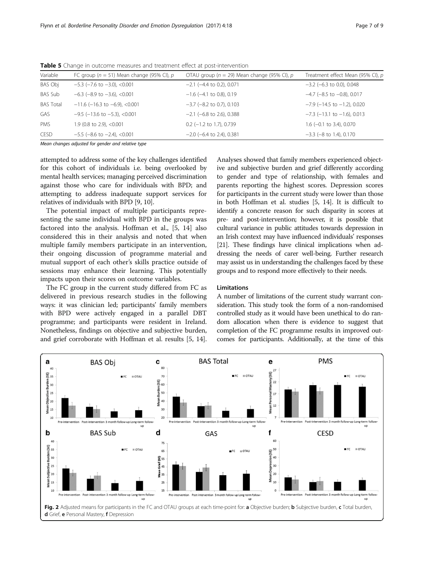| Variable         | FC group ( $n = 51$ ) Mean change (95% CI), p | OTAU group ( $n = 29$ ) Mean change (95% CI), p | Treatment effect Mean (95% CI), p   |
|------------------|-----------------------------------------------|-------------------------------------------------|-------------------------------------|
| BAS Obj          | $-5.3$ ( $-7.6$ to $-3.0$ ), $< 0.001$        | $-2.1$ ( $-4.4$ to 0.2), 0.071                  | $-3.2$ (-6.3 to 0.0), 0.048         |
| <b>BAS Sub</b>   | $-6.3$ ( $-8.9$ to $-3.6$ ), $< 0.001$        | $-1.6$ ( $-4.1$ to 0.8), 0.19                   | $-4.7$ ( $-8.5$ to $-0.8$ ), 0.017  |
| <b>BAS Total</b> | $-11.6$ (-16.3 to -6.9), <0.001               | $-3.7$ ( $-8.2$ to 0.7), 0.103                  | $-7.9$ (-14.5 to -1.2), 0.020       |
| GAS              | $-9.5$ ( $-13.6$ to $-5.3$ ), $< 0.001$       | $-2.1$ (-6.8 to 2.6), 0.388                     | $-7.3$ ( $-13.1$ to $-1.6$ ), 0.013 |
| PMS              | 1.9 (0.8 to 2.9), <0.001                      | $0.2$ (-1.2 to 1.7), 0.739                      | $1.6$ (-0.1 to 3.4), 0.070          |
| <b>CESD</b>      | $-5.5$ ( $-8.6$ to $-2.4$ ), $< 0.001$        | $-2.0$ (-6.4 to 2.4), 0.381                     | $-3.3$ ( $-8$ to 1.4), 0.170        |

<span id="page-6-0"></span>Table 5 Change in outcome measures and treatment effect at post-intervention

Mean changes adjusted for gender and relative type

attempted to address some of the key challenges identified for this cohort of individuals i.e. being overlooked by mental health services; managing perceived discrimination against those who care for individuals with BPD; and attempting to address inadequate support services for relatives of individuals with BPD [\[9](#page-8-0), [10](#page-8-0)].

The potential impact of multiple participants representing the same individual with BPD in the groups was factored into the analysis. Hoffman et al., [[5, 14\]](#page-8-0) also considered this in their analysis and noted that when multiple family members participate in an intervention, their ongoing discussion of programme material and mutual support of each other's skills practice outside of sessions may enhance their learning. This potentially impacts upon their scores on outcome variables.

The FC group in the current study differed from FC as delivered in previous research studies in the following ways: it was clinician led; participants' family members with BPD were actively engaged in a parallel DBT programme; and participants were resident in Ireland. Nonetheless, findings on objective and subjective burden, and grief corroborate with Hoffman et al. results [\[5, 14](#page-8-0)].

Analyses showed that family members experienced objective and subjective burden and grief differently according to gender and type of relationship, with females and parents reporting the highest scores. Depression scores for participants in the current study were lower than those in both Hoffman et al. studies [\[5, 14](#page-8-0)]. It is difficult to identify a concrete reason for such disparity in scores at pre- and post-intervention; however, it is possible that cultural variance in public attitudes towards depression in an Irish context may have influenced individuals' responses [[21](#page-8-0)]. These findings have clinical implications when addressing the needs of carer well-being. Further research may assist us in understanding the challenges faced by these groups and to respond more effectively to their needs.

# Limitations

A number of limitations of the current study warrant consideration. This study took the form of a non-randomised controlled study as it would have been unethical to do random allocation when there is evidence to suggest that completion of the FC programme results in improved outcomes for participants. Additionally, at the time of this

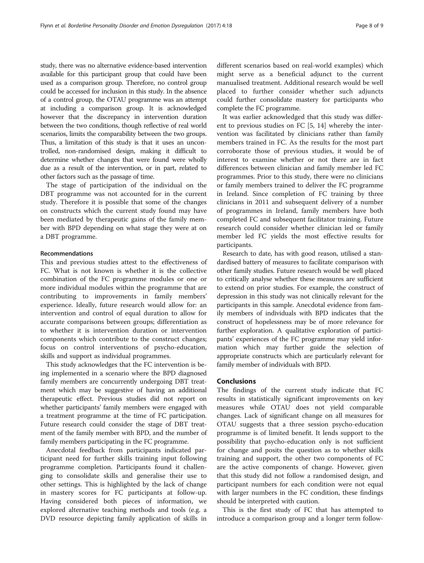study, there was no alternative evidence-based intervention available for this participant group that could have been used as a comparison group. Therefore, no control group could be accessed for inclusion in this study. In the absence of a control group, the OTAU programme was an attempt at including a comparison group. It is acknowledged however that the discrepancy in intervention duration between the two conditions, though reflective of real world scenarios, limits the comparability between the two groups. Thus, a limitation of this study is that it uses an uncontrolled, non-randomised design, making it difficult to determine whether changes that were found were wholly due as a result of the intervention, or in part, related to other factors such as the passage of time.

The stage of participation of the individual on the DBT programme was not accounted for in the current study. Therefore it is possible that some of the changes on constructs which the current study found may have been mediated by therapeutic gains of the family member with BPD depending on what stage they were at on a DBT programme.

### Recommendations

This and previous studies attest to the effectiveness of FC. What is not known is whether it is the collective combination of the FC programme modules or one or more individual modules within the programme that are contributing to improvements in family members' experience. Ideally, future research would allow for: an intervention and control of equal duration to allow for accurate comparisons between groups; differentiation as to whether it is intervention duration or intervention components which contribute to the construct changes; focus on control interventions of psycho-education, skills and support as individual programmes.

This study acknowledges that the FC intervention is being implemented in a scenario where the BPD diagnosed family members are concurrently undergoing DBT treatment which may be suggestive of having an additional therapeutic effect. Previous studies did not report on whether participants' family members were engaged with a treatment programme at the time of FC participation. Future research could consider the stage of DBT treatment of the family member with BPD, and the number of family members participating in the FC programme.

Anecdotal feedback from participants indicated participant need for further skills training input following programme completion. Participants found it challenging to consolidate skills and generalise their use to other settings. This is highlighted by the lack of change in mastery scores for FC participants at follow-up. Having considered both pieces of information, we explored alternative teaching methods and tools (e.g. a DVD resource depicting family application of skills in different scenarios based on real-world examples) which might serve as a beneficial adjunct to the current manualised treatment. Additional research would be well placed to further consider whether such adjuncts could further consolidate mastery for participants who complete the FC programme.

It was earlier acknowledged that this study was different to previous studies on FC [\[5, 14](#page-8-0)] whereby the intervention was facilitated by clinicians rather than family members trained in FC. As the results for the most part corroborate those of previous studies, it would be of interest to examine whether or not there are in fact differences between clinician and family member led FC programmes. Prior to this study, there were no clinicians or family members trained to deliver the FC programme in Ireland. Since completion of FC training by three clinicians in 2011 and subsequent delivery of a number of programmes in Ireland, family members have both completed FC and subsequent facilitator training. Future research could consider whether clinician led or family member led FC yields the most effective results for participants.

Research to date, has with good reason, utilised a standardised battery of measures to facilitate comparison with other family studies. Future research would be well placed to critically analyse whether these measures are sufficient to extend on prior studies. For example, the construct of depression in this study was not clinically relevant for the participants in this sample. Anecdotal evidence from family members of individuals with BPD indicates that the construct of hopelessness may be of more relevance for further exploration. A qualitative exploration of participants' experiences of the FC programme may yield information which may further guide the selection of appropriate constructs which are particularly relevant for family member of individuals with BPD.

# Conclusions

The findings of the current study indicate that FC results in statistically significant improvements on key measures while OTAU does not yield comparable changes. Lack of significant change on all measures for OTAU suggests that a three session psycho-education programme is of limited benefit. It lends support to the possibility that psycho-education only is not sufficient for change and posits the question as to whether skills training and support, the other two components of FC are the active components of change. However, given that this study did not follow a randomised design, and participant numbers for each condition were not equal with larger numbers in the FC condition, these findings should be interpreted with caution.

This is the first study of FC that has attempted to introduce a comparison group and a longer term follow-